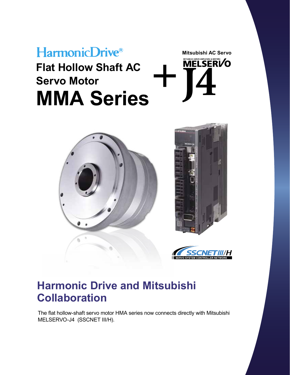# HarmonicDrive® **Flat Hollow Shaft AC Servo Motor MMA Series**



**Mitsubishi AC Servo**

**MTSUBSHI SERVO AMPLIFIERS & MOTORS** 



## **Harmonic Drive and Mitsubishi Collaboration**

The flat hollow-shaft servo motor HMA series now connects directly with Mitsubishi MELSERVO-J4 (SSCNET III/H).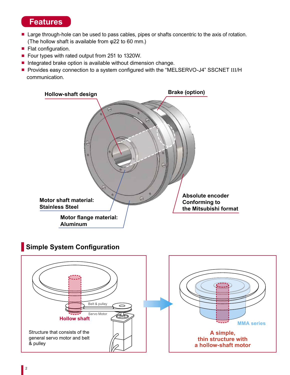#### **Features**

- Large through-hole can be used to pass cables, pipes or shafts concentric to the axis of rotation. (The hollow shaft is available from φ22 to 60 mm.)
- Flat configuration.
- Four types with rated output from 251 to 1320W.
- Integrated brake option is available without dimension change.
- Provides easy connection to a system configured with the "MELSERVO-J4" SSCNET III/H communication.



### **Simple System Configuration**

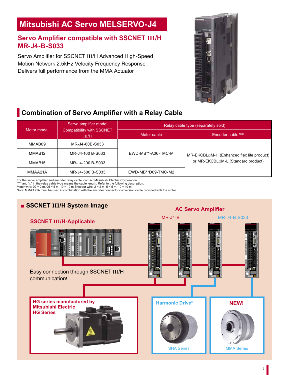## **Mitsubishi AC Servo MELSERVO-J4**

#### **Servo Amplifier compatible with SSCNET III/H MR-J4-B-S033**

Servo Amplifier for SSCNET III/H Advanced High-Speed Motion Network 2.5kHz Velocity Frequency Response Delivers full performance from the MMA Actuator



## **Combination of Servo Amplifier with a Relay Cable**

|                    | Servo amplifier model<br><b>Compatibility with SSCNET</b><br><b>III/H</b> | Relay cable type (separately sold) |                                                                                 |  |  |
|--------------------|---------------------------------------------------------------------------|------------------------------------|---------------------------------------------------------------------------------|--|--|
| Motor model        |                                                                           | Motor cable                        | <b>Encoder cable Note</b>                                                       |  |  |
| MMAB09             | MR-J4-60B-S033                                                            |                                    |                                                                                 |  |  |
| MMAB <sub>12</sub> | MR-J4-100 B-S033                                                          | EWD-MB**-A06-TMC-M                 | MR-EKCBL□M-H (Enhanced flex life product)<br>or MR-EKCBL□M-L (Standard product) |  |  |
| MMAB <sub>15</sub> | MR-J4-200 B-S033                                                          |                                    |                                                                                 |  |  |
| MMAA21A            | MR-J4-500 B-S033                                                          | EWD-MB**D09-TMC-M2                 |                                                                                 |  |  |

For the servo amplifier and encoder relay cable, contact Mitsubishi Electric Corporation.<br>"\*\*" and "i=" in the relay cable type means the cable length. Refer to the following description.<br>Motor wire: 02 = 2 m, 05 = 5 m, 1

Note: MMAA21A must be used in combination with the encoder connector conversion cable provided with the motor.

# **■ SSCNET III/H System Image AC Servo Amplifier** MR-J4-B MR-J4-B-S033 **SSCNET III/H-Applicable**  Easy connection through SSCNET III/H communication! **HG series manufactured by Mitsubishi Electric HG Series Harmonic Drive® NEW!** SHA Series **MMA** Series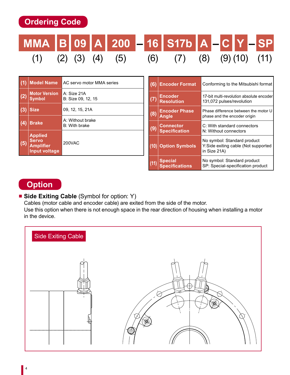**Ordering Code**

# **MMA B 09 A 200 – 16 S17b A – C Y – SP** (1) (2) (3) (4) (5) (6) (7) (8) (9) (10) (11)

|     | <b>Model Name</b>                                                          | AC servo motor MMA series         |
|-----|----------------------------------------------------------------------------|-----------------------------------|
| (2) | <b>Motor Version</b><br><b>Symbol</b>                                      | A: Size 21A<br>B: Size 09, 12, 15 |
| (3) | <b>Size</b>                                                                | 09, 12, 15, 21A                   |
| (4) | <b>Brake</b>                                                               | A: Without brake<br>B: With brake |
| (5) | <b>Applied</b><br><b>Servo</b><br><b>Amplifier</b><br><b>Input voltage</b> | 200VAC                            |

| (6) | <b>Encoder Format</b>                    | Conforming to the Mitsubishi format                                                 |
|-----|------------------------------------------|-------------------------------------------------------------------------------------|
|     | <b>Encoder</b><br><b>Resolution</b>      | 17-bit multi-revolution absolute encoder<br>131,072 pulses/revolution               |
| (8) | <b>Encoder Phase</b><br><b>Angle</b>     | Phase difference between the motor U<br>phase and the encoder origin                |
| (9) | <b>Connector</b><br><b>Specification</b> | C: With standard connectors<br>N: Without connectors                                |
|     | <b>Option Symbols</b>                    | No symbol: Standard product<br>Y: Side exiting cable (Not supported<br>in Size 21A) |
|     | <b>Special</b><br><b>Specifications</b>  | No symbol: Standard product<br>SP: Special-specification product                    |

## **Option**

#### ■ **Side Exiting Cable** (Symbol for option: Y)

Cables (motor cable and encoder cable) are exited from the side of the motor.

Use this option when there is not enough space in the rear direction of housing when installing a motor in the device.

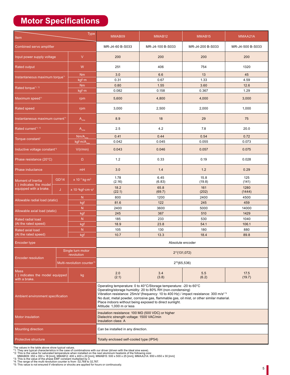## **Motor Specifications**

| <b>Type</b><br>Item                                            |                    |                                          | MMAB09                                                                                                                                                                                                                                                                                                                                                                                                                                 | MMAB <sub>12</sub><br>MMAB <sub>15</sub> |                | MMAA21A          |  |
|----------------------------------------------------------------|--------------------|------------------------------------------|----------------------------------------------------------------------------------------------------------------------------------------------------------------------------------------------------------------------------------------------------------------------------------------------------------------------------------------------------------------------------------------------------------------------------------------|------------------------------------------|----------------|------------------|--|
| Combined servo amplifier                                       |                    |                                          | MR-J4-60 B-S033                                                                                                                                                                                                                                                                                                                                                                                                                        | MR-J4-100 B-S033<br>MR-J4-200 B-S033     |                | MR-J4-500 B-S033 |  |
| V<br>Input power supply voltage                                |                    | 200                                      | 200                                                                                                                                                                                                                                                                                                                                                                                                                                    | 200                                      | 200            |                  |  |
| W<br><b>Rated output</b>                                       |                    | 251                                      | 406                                                                                                                                                                                                                                                                                                                                                                                                                                    | 754                                      | 1320           |                  |  |
| Instantaneous maximum torque <sup>11</sup>                     |                    | <b>Nm</b>                                | 3.0<br>0.31                                                                                                                                                                                                                                                                                                                                                                                                                            | 6.6<br>0.67                              | 13<br>1.33     | 45<br>4.59       |  |
|                                                                |                    | kgf·m<br><b>Nm</b>                       | 0.80                                                                                                                                                                                                                                                                                                                                                                                                                                   | 1.55                                     | 3.60           | 12.6             |  |
| Rated torque*1, *2                                             |                    | kgf·m                                    | 0.082<br>0.158                                                                                                                                                                                                                                                                                                                                                                                                                         |                                          | 0.367          | 1.29             |  |
| Maximum speed <sup>1</sup>                                     |                    | rpm                                      | 5,600                                                                                                                                                                                                                                                                                                                                                                                                                                  | 4,800                                    | 4,000          | 3,000            |  |
| Rated speed                                                    |                    | rpm                                      | 3,000<br>2,500                                                                                                                                                                                                                                                                                                                                                                                                                         |                                          | 2,000          | 1,000            |  |
| Instantaneous maximum current <sup>1</sup>                     |                    | $A_{\rm rms}$                            | 8.9                                                                                                                                                                                                                                                                                                                                                                                                                                    | 18                                       | 29             | 75               |  |
| Rated current <sup>*1, *2</sup>                                |                    | $A_{\rm rms}$                            | 2.5                                                                                                                                                                                                                                                                                                                                                                                                                                    | 4.2                                      | 7.8            | 20.0             |  |
| Torque constant <sup>1</sup>                                   |                    | $Nm/A_{rm}$                              | 0.41                                                                                                                                                                                                                                                                                                                                                                                                                                   | 0.44                                     | 0.54           | 0.72             |  |
|                                                                |                    | kgf·m/A                                  | 0.042                                                                                                                                                                                                                                                                                                                                                                                                                                  | 0.045                                    | 0.055          | 0.073            |  |
| Inductive voltage constant <sup>3</sup>                        |                    | V/(r/min)                                | 0.043                                                                                                                                                                                                                                                                                                                                                                                                                                  | 0.046                                    | 0.057          | 0.075            |  |
| Phase resistance (20°C)                                        |                    | Ω                                        | 1.2                                                                                                                                                                                                                                                                                                                                                                                                                                    | 0.33                                     | 0.19           | 0.028            |  |
| Phase inductance                                               |                    | mH                                       | 3.0                                                                                                                                                                                                                                                                                                                                                                                                                                    | 1.4                                      | 1.2            | 0.29             |  |
| Moment of Inertia<br>( ) indicates the model                   | GD <sup>2</sup> /4 | $x$ 10 <sup>-4</sup> kg·m <sup>2</sup>   | 1.78<br>(2.16)                                                                                                                                                                                                                                                                                                                                                                                                                         | 6.45<br>(6.83)                           | 15.8<br>(19.8) | 125<br>(141)     |  |
| equipped with a brake.                                         | J                  | x 10 <sup>-4</sup> kgf·cm·s <sup>2</sup> | 18.2<br>(22.1)                                                                                                                                                                                                                                                                                                                                                                                                                         | 65.8<br>(69.7)                           | 161<br>(202)   | 1280<br>(1444)   |  |
| Allowable radial load (static)                                 |                    | N.                                       | 800                                                                                                                                                                                                                                                                                                                                                                                                                                    | 1200                                     | 2400           | 4500             |  |
|                                                                |                    | kgf                                      | 81.6                                                                                                                                                                                                                                                                                                                                                                                                                                   | 122                                      | 245            | 459              |  |
| Allowable axial load (static)                                  |                    | N.                                       | 2400<br>245                                                                                                                                                                                                                                                                                                                                                                                                                            | 3600<br>367                              | 5000<br>510    | 14000<br>1429    |  |
| Rated radial load                                              |                    | kgf<br>N                                 | 185                                                                                                                                                                                                                                                                                                                                                                                                                                    | 233                                      | 530            | 1040             |  |
| (At the rated speed)                                           |                    | kgf                                      | 18.9                                                                                                                                                                                                                                                                                                                                                                                                                                   | 23.8                                     | 54.1           | 106.1            |  |
| Rated axial load                                               |                    | N                                        | 105                                                                                                                                                                                                                                                                                                                                                                                                                                    | 130                                      | 180            | 880              |  |
| (At the rated speed)                                           |                    | kgf                                      | 10.7                                                                                                                                                                                                                                                                                                                                                                                                                                   | 13.3                                     | 18.4           | 89.8             |  |
| Encoder type                                                   |                    |                                          | Absolute encoder                                                                                                                                                                                                                                                                                                                                                                                                                       |                                          |                |                  |  |
|                                                                |                    | Single turn motor<br>revolution          | $2^{17}(131,072)$                                                                                                                                                                                                                                                                                                                                                                                                                      |                                          |                |                  |  |
| <b>Encoder resolution</b>                                      |                    | Multi-revolution counter*4               | $2^{16}(65,536)$                                                                                                                                                                                                                                                                                                                                                                                                                       |                                          |                |                  |  |
| Mass<br>() indicates the model equipped<br>kg<br>with a brake. |                    | 2.0<br>(2.1)                             | 3.4<br>(3.8)                                                                                                                                                                                                                                                                                                                                                                                                                           | 5.5<br>(6.2)                             | 17.5<br>(19.7) |                  |  |
| Ambient environment specification                              |                    |                                          | Operating temperature: 0 to 40°C/Storage temperature: -20 to 60°C<br>Operating/storage humidity: 20 to 80% RH (non-condensing)<br>Vibration resistance: 25m/s <sup>2</sup> (frequency: 10 to 400 Hz) / impact resistance: 300 m/s <sup>2 *5</sup><br>No dust, metal powder, corrosive gas, flammable gas, oil mist, or other similar material.<br>Place indoors without being exposed to direct sunlight.<br>Altitude: 1,000 m or less |                                          |                |                  |  |
| Motor insulation                                               |                    |                                          | Insulation resistance: 100 ΜΩ (500 VDC) or higher<br>Dielectric strength voltage: 1500 VAC/min<br><b>Insulation class: A</b>                                                                                                                                                                                                                                                                                                           |                                          |                |                  |  |
| <b>Mounting direction</b>                                      |                    |                                          | Can be installed in any direction.                                                                                                                                                                                                                                                                                                                                                                                                     |                                          |                |                  |  |
| <b>Protective structure</b>                                    |                    |                                          | Totally enclosed self-cooled type (IP54)                                                                                                                                                                                                                                                                                                                                                                                               |                                          |                |                  |  |

The values in the table above show typical values.<br>\*1: They are typical characteristics in the case of combinations with our driver (driven with the ideal sine wave).<br>\*2: This is the value for saturated temperature when in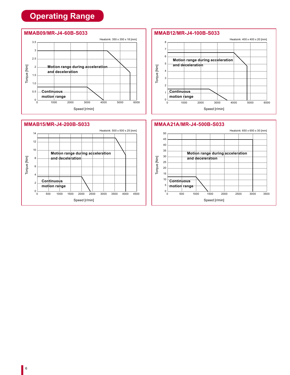## **Operating Range**





#### **MMAB12/MR-J4-100B-S033**



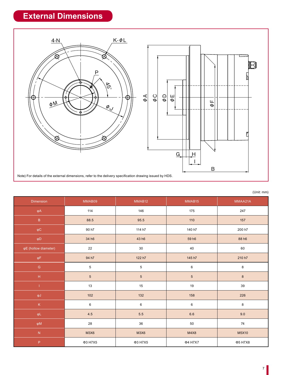## **External Dimensions**



|  | (Unit: mm) |
|--|------------|
|  |            |

| Dimension                                  | MMAB09      | MMAB12<br>MMAB15 |                    | MMAA21A          |  |
|--------------------------------------------|-------------|------------------|--------------------|------------------|--|
| $\phi A$                                   | 114         | 146              | 175                | 247              |  |
| $\overline{\mathsf{B}}$                    | 88.5        | 95.5             | 110                | 157              |  |
| $\phi\mathsf{C}$                           | 90 h7       | 114 h7           | 140 h7             | 200 h7           |  |
| $\phi D$                                   | 34 h6       | 43 h6            | 59 h6              | 88 h6            |  |
| φE (hollow diameter)                       | 22          | 30               | 40                 | 60               |  |
| $\phi \mathsf{F}$                          | 94 h7       | 122 h7           | 145 h7             | 210 h7           |  |
| ${\mathsf G}$                              | $\,$ 5 $\,$ | $\,$ 5 $\,$      | $\,6\,$            | $\bf 8$          |  |
| $\mathsf{H}% _{0}\left( \mathsf{H}\right)$ | $\sqrt{5}$  | $\overline{5}$   | $5\overline{)}$    | $\boldsymbol{8}$ |  |
| т                                          | 13          | 15               | 19                 | 39               |  |
| $\varphi J$                                | $102$       | 132              | 158                | 226              |  |
| $\mathsf K$                                | $\,6\,$     | 6                | 6                  | 8                |  |
| $\varphi L$                                | 4.5         | $5.5\,$          | $6.6\,$            | 9.0              |  |
| $\phi M$                                   | 28          | 36               | 50                 | $74\,$           |  |
| $\bar{\text{N}}$                           | M3X6        | M3X6             | M4X8               | M5X10            |  |
| P                                          | Φ3 H7X5     | Φ3 H7X5          | Φ4 H7X7<br>Φ5 H7X8 |                  |  |